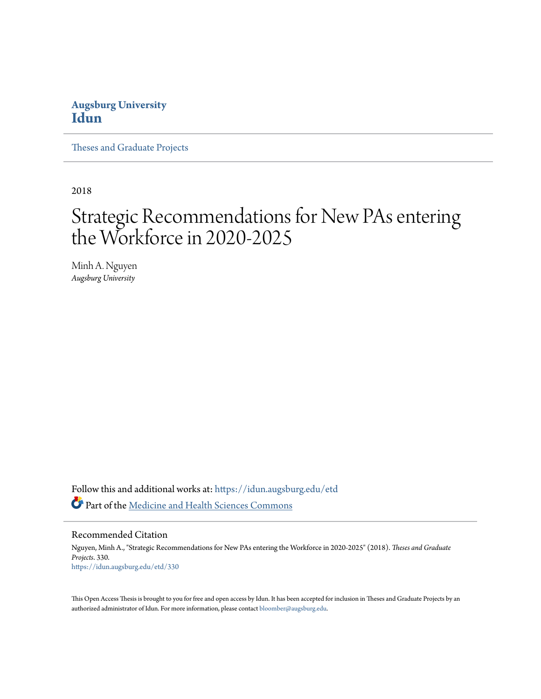# **Augsburg University [Idun](https://idun.augsburg.edu?utm_source=idun.augsburg.edu%2Fetd%2F330&utm_medium=PDF&utm_campaign=PDFCoverPages)**

[Theses and Graduate Projects](https://idun.augsburg.edu/etd?utm_source=idun.augsburg.edu%2Fetd%2F330&utm_medium=PDF&utm_campaign=PDFCoverPages)

2018

# Strategic Recommendations for New PAs entering the Workforce in 2020-2025

Minh A. Nguyen *Augsburg University*

Follow this and additional works at: [https://idun.augsburg.edu/etd](https://idun.augsburg.edu/etd?utm_source=idun.augsburg.edu%2Fetd%2F330&utm_medium=PDF&utm_campaign=PDFCoverPages) Part of the [Medicine and Health Sciences Commons](http://network.bepress.com/hgg/discipline/648?utm_source=idun.augsburg.edu%2Fetd%2F330&utm_medium=PDF&utm_campaign=PDFCoverPages)

### Recommended Citation

Nguyen, Minh A., "Strategic Recommendations for New PAs entering the Workforce in 2020-2025" (2018). *Theses and Graduate Projects*. 330. [https://idun.augsburg.edu/etd/330](https://idun.augsburg.edu/etd/330?utm_source=idun.augsburg.edu%2Fetd%2F330&utm_medium=PDF&utm_campaign=PDFCoverPages)

This Open Access Thesis is brought to you for free and open access by Idun. It has been accepted for inclusion in Theses and Graduate Projects by an authorized administrator of Idun. For more information, please contact [bloomber@augsburg.edu.](mailto:bloomber@augsburg.edu)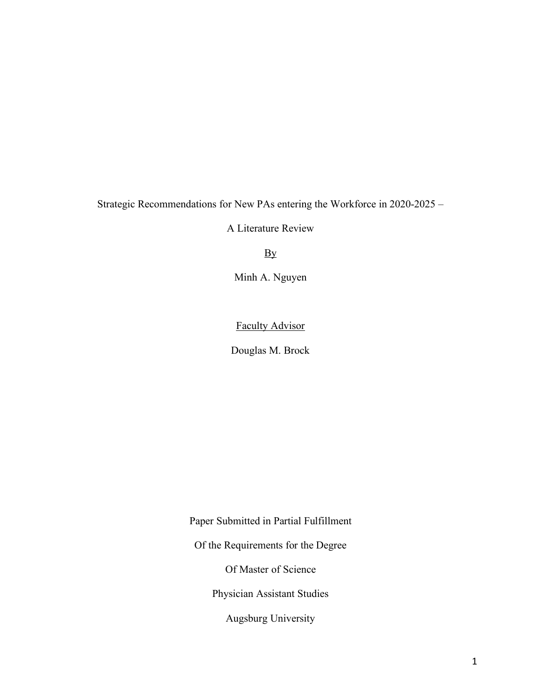Strategic Recommendations for New PAs entering the Workforce in 2020-2025 –

A Literature Review

**By** 

Minh A. Nguyen

Faculty Advisor

Douglas M. Brock

Paper Submitted in Partial Fulfillment Of the Requirements for the Degree

Of Master of Science

Physician Assistant Studies

Augsburg University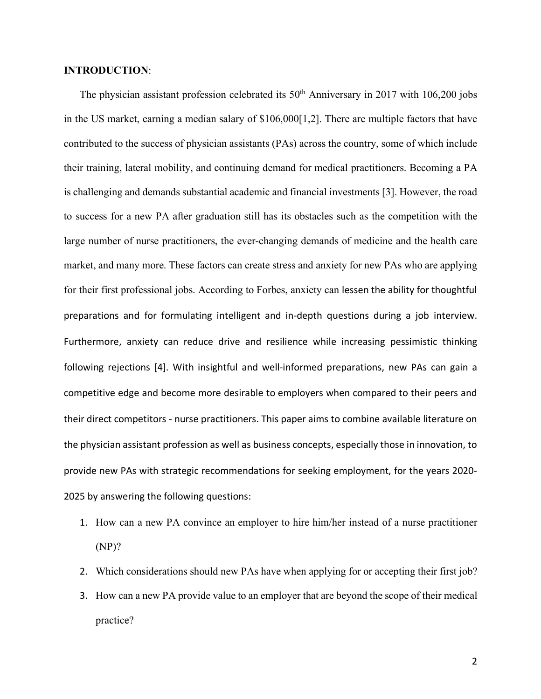# **INTRODUCTION**:

The physician assistant profession celebrated its  $50<sup>th</sup>$  Anniversary in 2017 with 106,200 jobs in the US market, earning a median salary of \$106,000[1,2]. There are multiple factors that have contributed to the success of physician assistants (PAs) across the country, some of which include their training, lateral mobility, and continuing demand for medical practitioners. Becoming a PA is challenging and demands substantial academic and financial investments [3]. However, the road to success for a new PA after graduation still has its obstacles such as the competition with the large number of nurse practitioners, the ever-changing demands of medicine and the health care market, and many more. These factors can create stress and anxiety for new PAs who are applying for their first professional jobs. According to Forbes, anxiety can lessen the ability for thoughtful preparations and for formulating intelligent and in-depth questions during a job interview. Furthermore, anxiety can reduce drive and resilience while increasing pessimistic thinking following rejections [4]. With insightful and well-informed preparations, new PAs can gain a competitive edge and become more desirable to employers when compared to their peers and their direct competitors - nurse practitioners. This paper aims to combine available literature on the physician assistant profession as well as business concepts, especially those in innovation, to provide new PAs with strategic recommendations for seeking employment, for the years 2020- 2025 by answering the following questions:

- 1. How can a new PA convince an employer to hire him/her instead of a nurse practitioner (NP)?
- 2. Which considerations should new PAs have when applying for or accepting their first job?
- 3. How can a new PA provide value to an employer that are beyond the scope of their medical practice?

2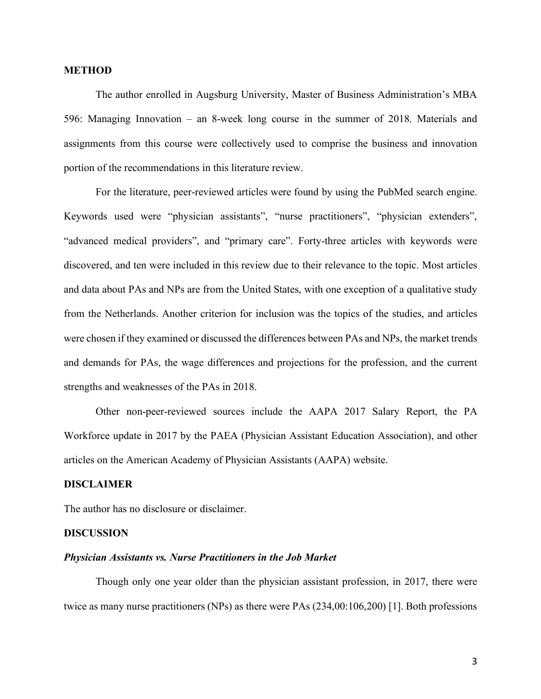## **METHOD**

The author enrolled in Augsburg University, Master of Business Administration's MBA 596: Managing Innovation – an 8-week long course in the summer of 2018. Materials and assignments from this course were collectively used to comprise the business and innovation portion of the recommendations in this literature review.

For the literature, peer-reviewed articles were found by using the PubMed search engine. Keywords used were "physician assistants", "nurse practitioners", "physician extenders", "advanced medical providers", and "primary care". Forty-three articles with keywords were discovered, and ten were included in this review due to their relevance to the topic. Most articles and data about PAs and NPs are from the United States, with one exception of a qualitative study from the Netherlands. Another criterion for inclusion was the topics of the studies, and articles were chosen if they examined or discussed the differences between PAs and NPs, the market trends and demands for PAs, the wage differences and projections for the profession, and the current strengths and weaknesses of the PAs in 2018.

Other non-peer-reviewed sources include the AAPA 2017 Salary Report, the PA Workforce update in 2017 by the PAEA (Physician Assistant Education Association), and other articles on the American Academy of Physician Assistants (AAPA) website.

# **DISCLAIMER**

The author has no disclosure or disclaimer.

#### **DISCUSSION**

#### *Physician Assistants vs. Nurse Practitioners in the Job Market*

Though only one year older than the physician assistant profession, in 2017, there were twice as many nurse practitioners (NPs) as there were PAs (234,00:106,200) [1]. Both professions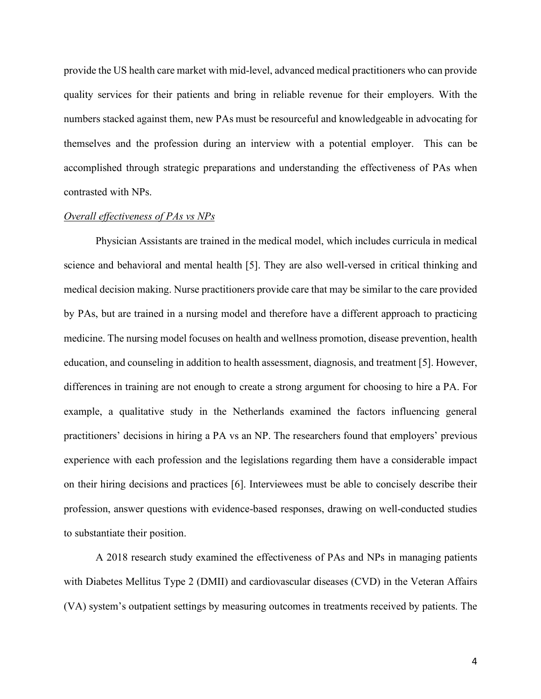provide the US health care market with mid-level, advanced medical practitioners who can provide quality services for their patients and bring in reliable revenue for their employers. With the numbers stacked against them, new PAs must be resourceful and knowledgeable in advocating for themselves and the profession during an interview with a potential employer. This can be accomplished through strategic preparations and understanding the effectiveness of PAs when contrasted with NPs.

# *Overall effectiveness of PAs vs NPs*

Physician Assistants are trained in the medical model, which includes curricula in medical science and behavioral and mental health [5]. They are also well-versed in critical thinking and medical decision making. Nurse practitioners provide care that may be similar to the care provided by PAs, but are trained in a nursing model and therefore have a different approach to practicing medicine. The nursing model focuses on health and wellness promotion, disease prevention, health education, and counseling in addition to health assessment, diagnosis, and treatment [5]. However, differences in training are not enough to create a strong argument for choosing to hire a PA. For example, a qualitative study in the Netherlands examined the factors influencing general practitioners' decisions in hiring a PA vs an NP. The researchers found that employers' previous experience with each profession and the legislations regarding them have a considerable impact on their hiring decisions and practices [6]. Interviewees must be able to concisely describe their profession, answer questions with evidence-based responses, drawing on well-conducted studies to substantiate their position.

A 2018 research study examined the effectiveness of PAs and NPs in managing patients with Diabetes Mellitus Type 2 (DMII) and cardiovascular diseases (CVD) in the Veteran Affairs (VA) system's outpatient settings by measuring outcomes in treatments received by patients. The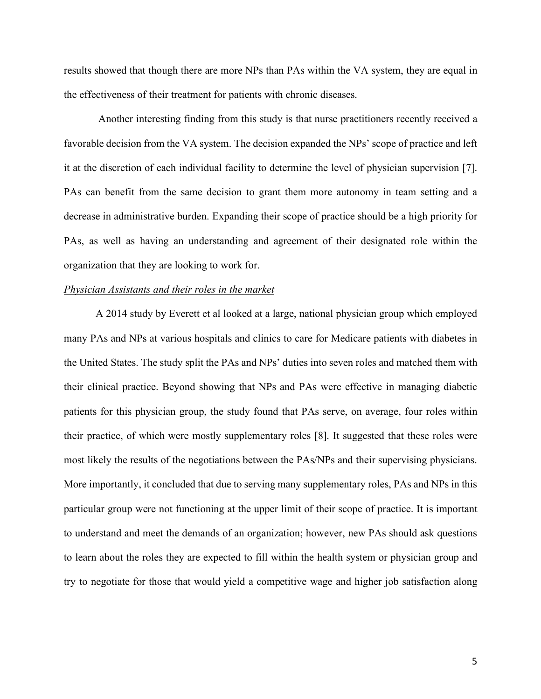results showed that though there are more NPs than PAs within the VA system, they are equal in the effectiveness of their treatment for patients with chronic diseases.

Another interesting finding from this study is that nurse practitioners recently received a favorable decision from the VA system. The decision expanded the NPs' scope of practice and left it at the discretion of each individual facility to determine the level of physician supervision [7]. PAs can benefit from the same decision to grant them more autonomy in team setting and a decrease in administrative burden. Expanding their scope of practice should be a high priority for PAs, as well as having an understanding and agreement of their designated role within the organization that they are looking to work for.

# *Physician Assistants and their roles in the market*

A 2014 study by Everett et al looked at a large, national physician group which employed many PAs and NPs at various hospitals and clinics to care for Medicare patients with diabetes in the United States. The study split the PAs and NPs' duties into seven roles and matched them with their clinical practice. Beyond showing that NPs and PAs were effective in managing diabetic patients for this physician group, the study found that PAs serve, on average, four roles within their practice, of which were mostly supplementary roles [8]. It suggested that these roles were most likely the results of the negotiations between the PAs/NPs and their supervising physicians. More importantly, it concluded that due to serving many supplementary roles, PAs and NPs in this particular group were not functioning at the upper limit of their scope of practice. It is important to understand and meet the demands of an organization; however, new PAs should ask questions to learn about the roles they are expected to fill within the health system or physician group and try to negotiate for those that would yield a competitive wage and higher job satisfaction along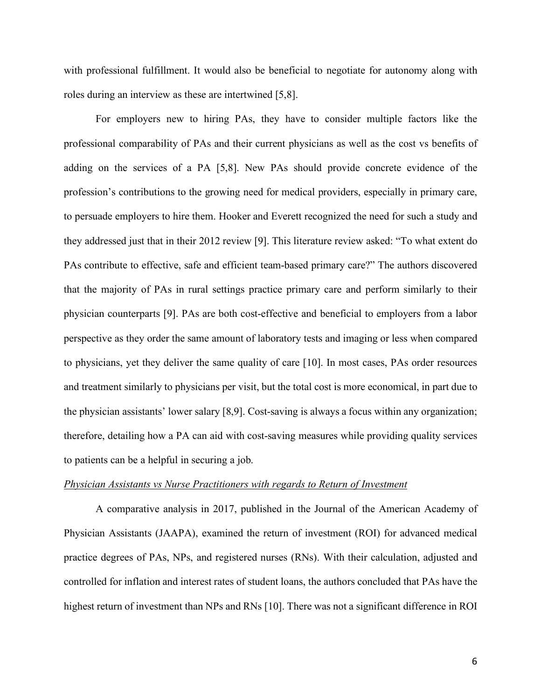with professional fulfillment. It would also be beneficial to negotiate for autonomy along with roles during an interview as these are intertwined [5,8].

For employers new to hiring PAs, they have to consider multiple factors like the professional comparability of PAs and their current physicians as well as the cost vs benefits of adding on the services of a PA [5,8]. New PAs should provide concrete evidence of the profession's contributions to the growing need for medical providers, especially in primary care, to persuade employers to hire them. Hooker and Everett recognized the need for such a study and they addressed just that in their 2012 review [9]. This literature review asked: "To what extent do PAs contribute to effective, safe and efficient team-based primary care?" The authors discovered that the majority of PAs in rural settings practice primary care and perform similarly to their physician counterparts [9]. PAs are both cost-effective and beneficial to employers from a labor perspective as they order the same amount of laboratory tests and imaging or less when compared to physicians, yet they deliver the same quality of care [10]. In most cases, PAs order resources and treatment similarly to physicians per visit, but the total cost is more economical, in part due to the physician assistants' lower salary [8,9]. Cost-saving is always a focus within any organization; therefore, detailing how a PA can aid with cost-saving measures while providing quality services to patients can be a helpful in securing a job.

#### *Physician Assistants vs Nurse Practitioners with regards to Return of Investment*

A comparative analysis in 2017, published in the Journal of the American Academy of Physician Assistants (JAAPA), examined the return of investment (ROI) for advanced medical practice degrees of PAs, NPs, and registered nurses (RNs). With their calculation, adjusted and controlled for inflation and interest rates of student loans, the authors concluded that PAs have the highest return of investment than NPs and RNs [10]. There was not a significant difference in ROI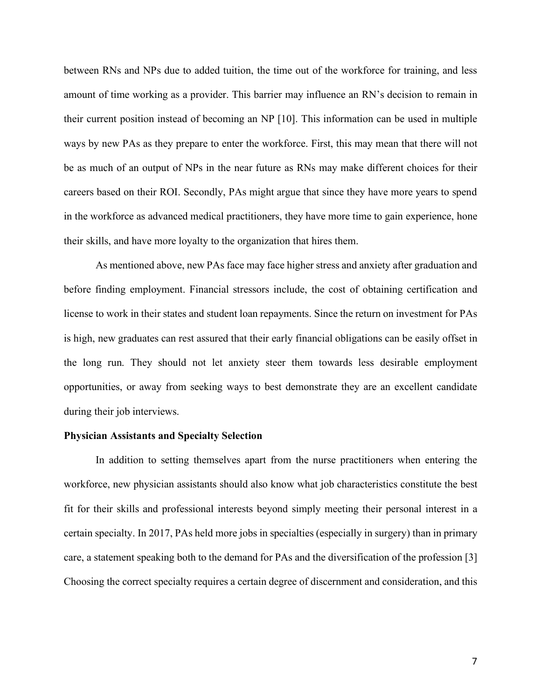between RNs and NPs due to added tuition, the time out of the workforce for training, and less amount of time working as a provider. This barrier may influence an RN's decision to remain in their current position instead of becoming an NP [10]. This information can be used in multiple ways by new PAs as they prepare to enter the workforce. First, this may mean that there will not be as much of an output of NPs in the near future as RNs may make different choices for their careers based on their ROI. Secondly, PAs might argue that since they have more years to spend in the workforce as advanced medical practitioners, they have more time to gain experience, hone their skills, and have more loyalty to the organization that hires them.

As mentioned above, new PAs face may face higher stress and anxiety after graduation and before finding employment. Financial stressors include, the cost of obtaining certification and license to work in their states and student loan repayments. Since the return on investment for PAs is high, new graduates can rest assured that their early financial obligations can be easily offset in the long run. They should not let anxiety steer them towards less desirable employment opportunities, or away from seeking ways to best demonstrate they are an excellent candidate during their job interviews.

#### **Physician Assistants and Specialty Selection**

In addition to setting themselves apart from the nurse practitioners when entering the workforce, new physician assistants should also know what job characteristics constitute the best fit for their skills and professional interests beyond simply meeting their personal interest in a certain specialty. In 2017, PAs held more jobs in specialties (especially in surgery) than in primary care, a statement speaking both to the demand for PAs and the diversification of the profession [3] Choosing the correct specialty requires a certain degree of discernment and consideration, and this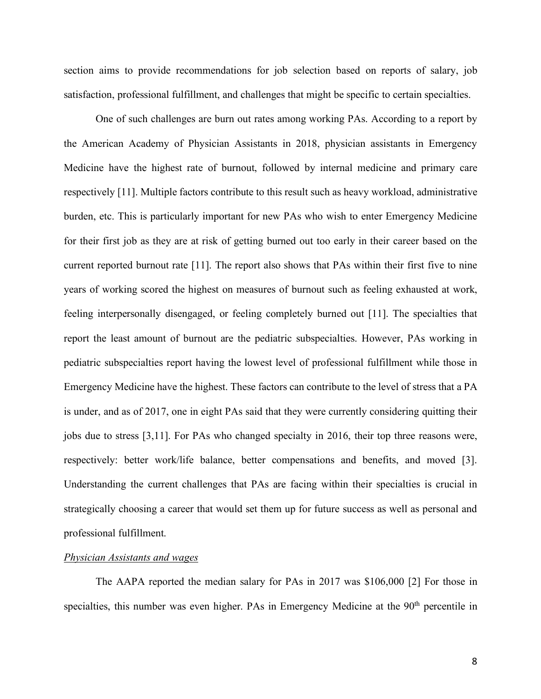section aims to provide recommendations for job selection based on reports of salary, job satisfaction, professional fulfillment, and challenges that might be specific to certain specialties.

One of such challenges are burn out rates among working PAs. According to a report by the American Academy of Physician Assistants in 2018, physician assistants in Emergency Medicine have the highest rate of burnout, followed by internal medicine and primary care respectively [11]. Multiple factors contribute to this result such as heavy workload, administrative burden, etc. This is particularly important for new PAs who wish to enter Emergency Medicine for their first job as they are at risk of getting burned out too early in their career based on the current reported burnout rate [11]. The report also shows that PAs within their first five to nine years of working scored the highest on measures of burnout such as feeling exhausted at work, feeling interpersonally disengaged, or feeling completely burned out [11]. The specialties that report the least amount of burnout are the pediatric subspecialties. However, PAs working in pediatric subspecialties report having the lowest level of professional fulfillment while those in Emergency Medicine have the highest. These factors can contribute to the level of stress that a PA is under, and as of 2017, one in eight PAs said that they were currently considering quitting their jobs due to stress [3,11]. For PAs who changed specialty in 2016, their top three reasons were, respectively: better work/life balance, better compensations and benefits, and moved [3]. Understanding the current challenges that PAs are facing within their specialties is crucial in strategically choosing a career that would set them up for future success as well as personal and professional fulfillment.

### *Physician Assistants and wages*

The AAPA reported the median salary for PAs in 2017 was \$106,000 [2] For those in specialties, this number was even higher. PAs in Emergency Medicine at the 90<sup>th</sup> percentile in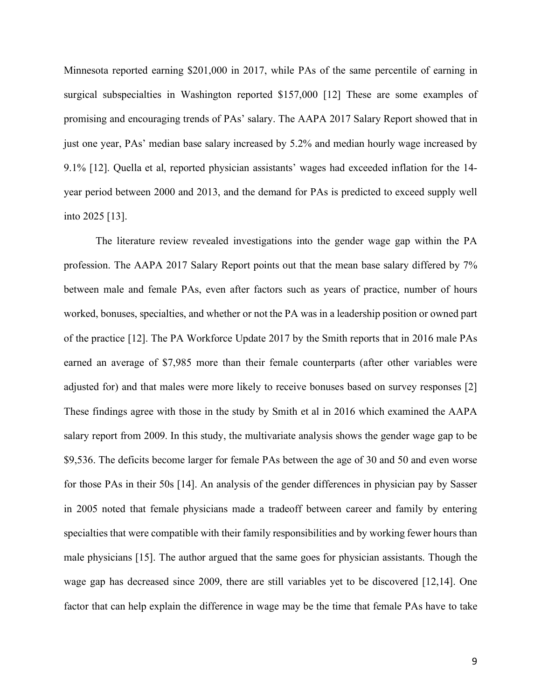Minnesota reported earning \$201,000 in 2017, while PAs of the same percentile of earning in surgical subspecialties in Washington reported \$157,000 [12] These are some examples of promising and encouraging trends of PAs' salary. The AAPA 2017 Salary Report showed that in just one year, PAs' median base salary increased by 5.2% and median hourly wage increased by 9.1% [12]. Quella et al, reported physician assistants' wages had exceeded inflation for the 14 year period between 2000 and 2013, and the demand for PAs is predicted to exceed supply well into 2025 [13].

The literature review revealed investigations into the gender wage gap within the PA profession. The AAPA 2017 Salary Report points out that the mean base salary differed by 7% between male and female PAs, even after factors such as years of practice, number of hours worked, bonuses, specialties, and whether or not the PA was in a leadership position or owned part of the practice [12]. The PA Workforce Update 2017 by the Smith reports that in 2016 male PAs earned an average of \$7,985 more than their female counterparts (after other variables were adjusted for) and that males were more likely to receive bonuses based on survey responses [2] These findings agree with those in the study by Smith et al in 2016 which examined the AAPA salary report from 2009. In this study, the multivariate analysis shows the gender wage gap to be \$9,536. The deficits become larger for female PAs between the age of 30 and 50 and even worse for those PAs in their 50s [14]. An analysis of the gender differences in physician pay by Sasser in 2005 noted that female physicians made a tradeoff between career and family by entering specialties that were compatible with their family responsibilities and by working fewer hours than male physicians [15]. The author argued that the same goes for physician assistants. Though the wage gap has decreased since 2009, there are still variables yet to be discovered [12,14]. One factor that can help explain the difference in wage may be the time that female PAs have to take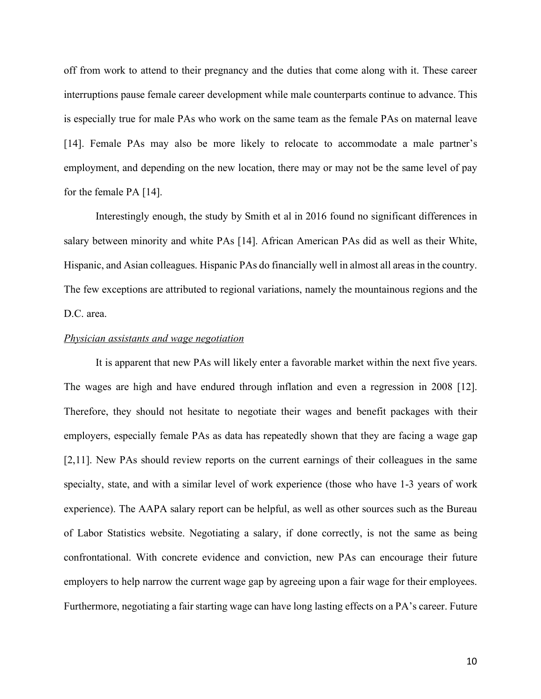off from work to attend to their pregnancy and the duties that come along with it. These career interruptions pause female career development while male counterparts continue to advance. This is especially true for male PAs who work on the same team as the female PAs on maternal leave [14]. Female PAs may also be more likely to relocate to accommodate a male partner's employment, and depending on the new location, there may or may not be the same level of pay for the female PA [14].

Interestingly enough, the study by Smith et al in 2016 found no significant differences in salary between minority and white PAs [14]. African American PAs did as well as their White, Hispanic, and Asian colleagues. Hispanic PAs do financially well in almost all areas in the country. The few exceptions are attributed to regional variations, namely the mountainous regions and the D.C. area.

#### *Physician assistants and wage negotiation*

It is apparent that new PAs will likely enter a favorable market within the next five years. The wages are high and have endured through inflation and even a regression in 2008 [12]. Therefore, they should not hesitate to negotiate their wages and benefit packages with their employers, especially female PAs as data has repeatedly shown that they are facing a wage gap [2,11]. New PAs should review reports on the current earnings of their colleagues in the same specialty, state, and with a similar level of work experience (those who have 1-3 years of work experience). The AAPA salary report can be helpful, as well as other sources such as the Bureau of Labor Statistics website. Negotiating a salary, if done correctly, is not the same as being confrontational. With concrete evidence and conviction, new PAs can encourage their future employers to help narrow the current wage gap by agreeing upon a fair wage for their employees. Furthermore, negotiating a fair starting wage can have long lasting effects on a PA's career. Future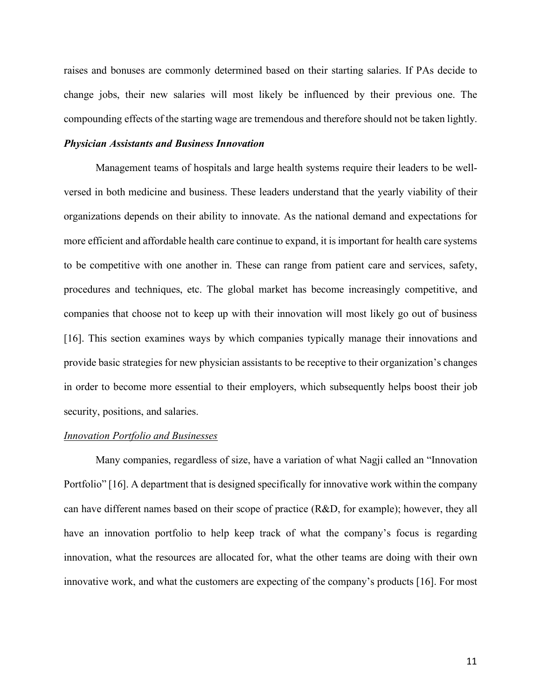raises and bonuses are commonly determined based on their starting salaries. If PAs decide to change jobs, their new salaries will most likely be influenced by their previous one. The compounding effects of the starting wage are tremendous and therefore should not be taken lightly.

# *Physician Assistants and Business Innovation*

Management teams of hospitals and large health systems require their leaders to be wellversed in both medicine and business. These leaders understand that the yearly viability of their organizations depends on their ability to innovate. As the national demand and expectations for more efficient and affordable health care continue to expand, it is important for health care systems to be competitive with one another in. These can range from patient care and services, safety, procedures and techniques, etc. The global market has become increasingly competitive, and companies that choose not to keep up with their innovation will most likely go out of business [16]. This section examines ways by which companies typically manage their innovations and provide basic strategies for new physician assistants to be receptive to their organization's changes in order to become more essential to their employers, which subsequently helps boost their job security, positions, and salaries.

#### *Innovation Portfolio and Businesses*

Many companies, regardless of size, have a variation of what Nagji called an "Innovation Portfolio" [16]. A department that is designed specifically for innovative work within the company can have different names based on their scope of practice (R&D, for example); however, they all have an innovation portfolio to help keep track of what the company's focus is regarding innovation, what the resources are allocated for, what the other teams are doing with their own innovative work, and what the customers are expecting of the company's products [16]. For most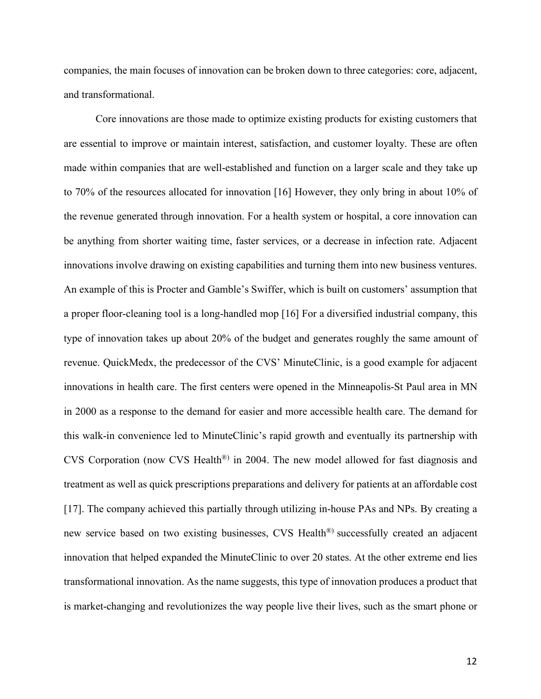companies, the main focuses of innovation can be broken down to three categories: core, adjacent, and transformational.

Core innovations are those made to optimize existing products for existing customers that are essential to improve or maintain interest, satisfaction, and customer loyalty. These are often made within companies that are well-established and function on a larger scale and they take up to 70% of the resources allocated for innovation [16] However, they only bring in about 10% of the revenue generated through innovation. For a health system or hospital, a core innovation can be anything from shorter waiting time, faster services, or a decrease in infection rate. Adjacent innovations involve drawing on existing capabilities and turning them into new business ventures. An example of this is Procter and Gamble's Swiffer, which is built on customers' assumption that a proper floor-cleaning tool is a long-handled mop [16] For a diversified industrial company, this type of innovation takes up about 20% of the budget and generates roughly the same amount of revenue. QuickMedx, the predecessor of the CVS' MinuteClinic, is a good example for adjacent innovations in health care. The first centers were opened in the Minneapolis-St Paul area in MN in 2000 as a response to the demand for easier and more accessible health care. The demand for this walk-in convenience led to MinuteClinic's rapid growth and eventually its partnership with CVS Corporation (now CVS Health®) in 2004. The new model allowed for fast diagnosis and treatment as well as quick prescriptions preparations and delivery for patients at an affordable cost [17]. The company achieved this partially through utilizing in-house PAs and NPs. By creating a new service based on two existing businesses, CVS Health®) successfully created an adjacent innovation that helped expanded the MinuteClinic to over 20 states. At the other extreme end lies transformational innovation. As the name suggests, this type of innovation produces a product that is market-changing and revolutionizes the way people live their lives, such as the smart phone or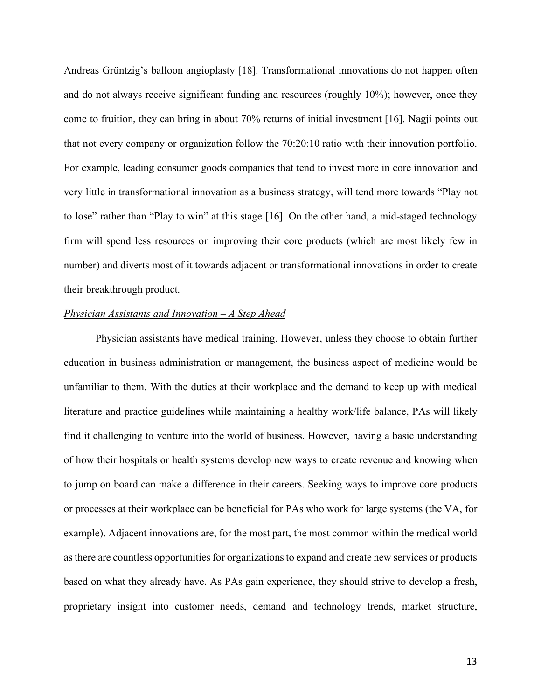Andreas Grüntzig's balloon angioplasty [18]. Transformational innovations do not happen often and do not always receive significant funding and resources (roughly 10%); however, once they come to fruition, they can bring in about 70% returns of initial investment [16]. Nagji points out that not every company or organization follow the 70:20:10 ratio with their innovation portfolio. For example, leading consumer goods companies that tend to invest more in core innovation and very little in transformational innovation as a business strategy, will tend more towards "Play not to lose" rather than "Play to win" at this stage [16]. On the other hand, a mid-staged technology firm will spend less resources on improving their core products (which are most likely few in number) and diverts most of it towards adjacent or transformational innovations in order to create their breakthrough product.

## *Physician Assistants and Innovation – A Step Ahead*

Physician assistants have medical training. However, unless they choose to obtain further education in business administration or management, the business aspect of medicine would be unfamiliar to them. With the duties at their workplace and the demand to keep up with medical literature and practice guidelines while maintaining a healthy work/life balance, PAs will likely find it challenging to venture into the world of business. However, having a basic understanding of how their hospitals or health systems develop new ways to create revenue and knowing when to jump on board can make a difference in their careers. Seeking ways to improve core products or processes at their workplace can be beneficial for PAs who work for large systems (the VA, for example). Adjacent innovations are, for the most part, the most common within the medical world as there are countless opportunities for organizations to expand and create new services or products based on what they already have. As PAs gain experience, they should strive to develop a fresh, proprietary insight into customer needs, demand and technology trends, market structure,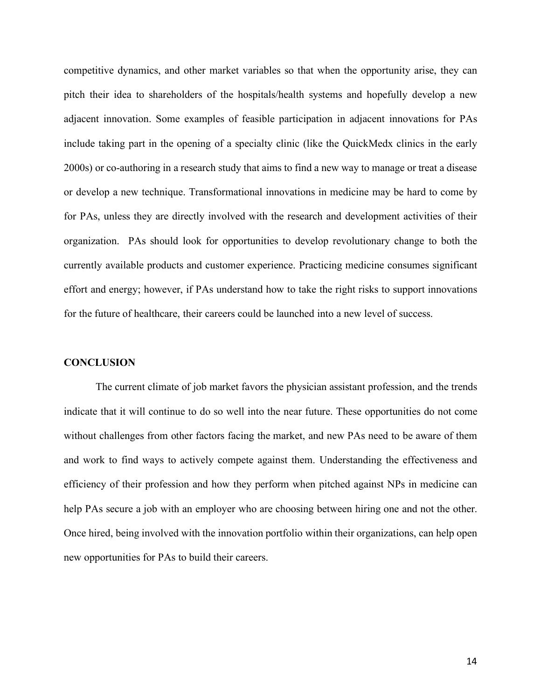competitive dynamics, and other market variables so that when the opportunity arise, they can pitch their idea to shareholders of the hospitals/health systems and hopefully develop a new adjacent innovation. Some examples of feasible participation in adjacent innovations for PAs include taking part in the opening of a specialty clinic (like the QuickMedx clinics in the early 2000s) or co-authoring in a research study that aims to find a new way to manage or treat a disease or develop a new technique. Transformational innovations in medicine may be hard to come by for PAs, unless they are directly involved with the research and development activities of their organization. PAs should look for opportunities to develop revolutionary change to both the currently available products and customer experience. Practicing medicine consumes significant effort and energy; however, if PAs understand how to take the right risks to support innovations for the future of healthcare, their careers could be launched into a new level of success.

#### **CONCLUSION**

The current climate of job market favors the physician assistant profession, and the trends indicate that it will continue to do so well into the near future. These opportunities do not come without challenges from other factors facing the market, and new PAs need to be aware of them and work to find ways to actively compete against them. Understanding the effectiveness and efficiency of their profession and how they perform when pitched against NPs in medicine can help PAs secure a job with an employer who are choosing between hiring one and not the other. Once hired, being involved with the innovation portfolio within their organizations, can help open new opportunities for PAs to build their careers.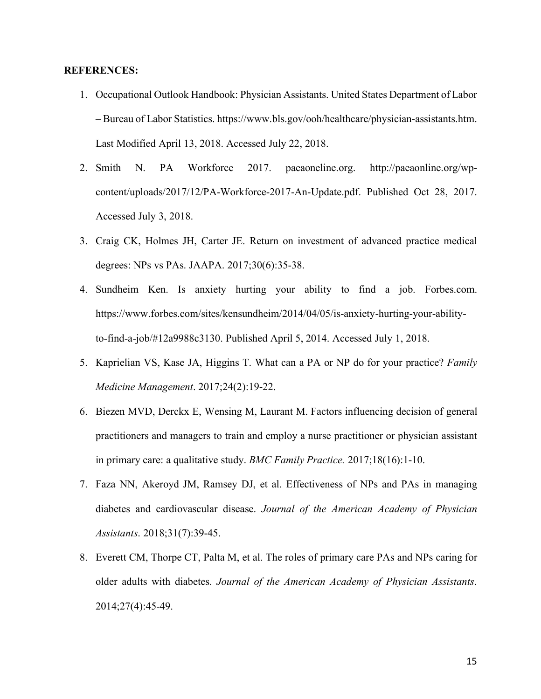# **REFERENCES:**

- 1. Occupational Outlook Handbook: Physician Assistants. United States Department of Labor – Bureau of Labor Statistics. https://www.bls.gov/ooh/healthcare/physician-assistants.htm. Last Modified April 13, 2018. Accessed July 22, 2018.
- 2. Smith N. PA Workforce 2017. paeaoneline.org. http://paeaonline.org/wpcontent/uploads/2017/12/PA-Workforce-2017-An-Update.pdf. Published Oct 28, 2017. Accessed July 3, 2018.
- 3. Craig CK, Holmes JH, Carter JE. Return on investment of advanced practice medical degrees: NPs vs PAs. JAAPA. 2017;30(6):35-38.
- 4. Sundheim Ken. Is anxiety hurting your ability to find a job. Forbes.com. https://www.forbes.com/sites/kensundheim/2014/04/05/is-anxiety-hurting-your-abilityto-find-a-job/#12a9988c3130. Published April 5, 2014. Accessed July 1, 2018.
- 5. Kaprielian VS, Kase JA, Higgins T. What can a PA or NP do for your practice? *Family Medicine Management*. 2017;24(2):19-22.
- 6. Biezen MVD, Derckx E, Wensing M, Laurant M. Factors influencing decision of general practitioners and managers to train and employ a nurse practitioner or physician assistant in primary care: a qualitative study. *BMC Family Practice.* 2017;18(16):1-10.
- 7. Faza NN, Akeroyd JM, Ramsey DJ, et al. Effectiveness of NPs and PAs in managing diabetes and cardiovascular disease. *Journal of the American Academy of Physician Assistants*. 2018;31(7):39-45.
- 8. Everett CM, Thorpe CT, Palta M, et al. The roles of primary care PAs and NPs caring for older adults with diabetes. *Journal of the American Academy of Physician Assistants*. 2014;27(4):45-49.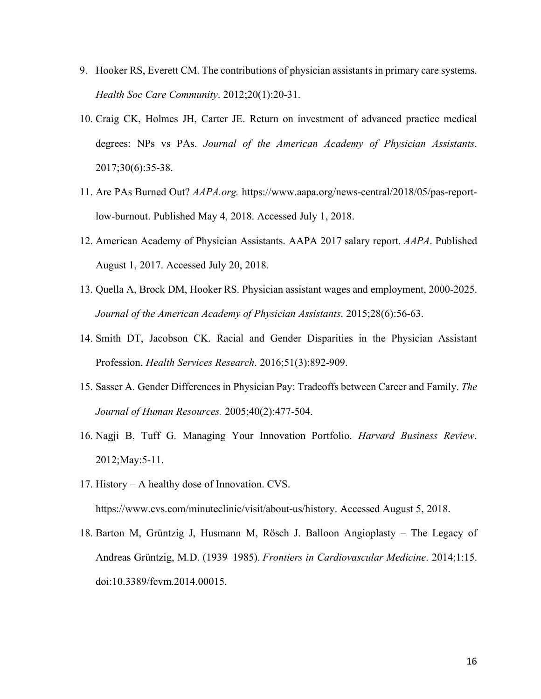- 9. Hooker RS, Everett CM. The contributions of physician assistants in primary care systems. *Health Soc Care Community*. 2012;20(1):20-31.
- 10. Craig CK, Holmes JH, Carter JE. Return on investment of advanced practice medical degrees: NPs vs PAs. *Journal of the American Academy of Physician Assistants*. 2017;30(6):35-38.
- 11. Are PAs Burned Out? *AAPA.org.* https://www.aapa.org/news-central/2018/05/pas-reportlow-burnout. Published May 4, 2018. Accessed July 1, 2018.
- 12. American Academy of Physician Assistants. AAPA 2017 salary report. *AAPA*. Published August 1, 2017. Accessed July 20, 2018.
- 13. Quella A, Brock DM, Hooker RS. Physician assistant wages and employment, 2000-2025. *Journal of the American Academy of Physician Assistants*. 2015;28(6):56-63.
- 14. Smith DT, Jacobson CK. Racial and Gender Disparities in the Physician Assistant Profession. *Health Services Research*. 2016;51(3):892-909.
- 15. Sasser A. Gender Differences in Physician Pay: Tradeoffs between Career and Family. *The Journal of Human Resources.* 2005;40(2):477-504.
- 16. Nagji B, Tuff G. Managing Your Innovation Portfolio. *Harvard Business Review*. 2012;May:5-11.
- 17. History A healthy dose of Innovation. CVS. https://www.cvs.com/minuteclinic/visit/about-us/history. Accessed August 5, 2018.
- 18. Barton M, Grüntzig J, Husmann M, Rösch J. Balloon Angioplasty The Legacy of Andreas Grüntzig, M.D. (1939–1985). *Frontiers in Cardiovascular Medicine*. 2014;1:15. doi:10.3389/fcvm.2014.00015.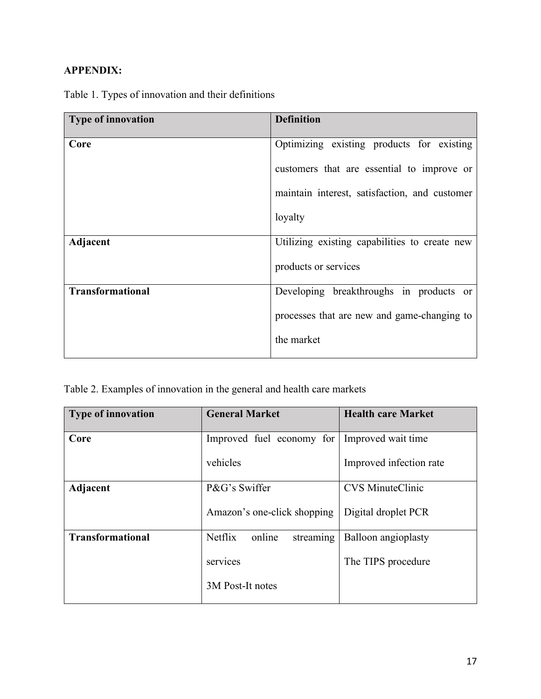# **APPENDIX:**

| <b>Type of innovation</b> | <b>Definition</b>                             |
|---------------------------|-----------------------------------------------|
| Core                      | Optimizing existing products for existing     |
|                           | customers that are essential to improve or    |
|                           | maintain interest, satisfaction, and customer |
|                           | loyalty                                       |
| Adjacent                  | Utilizing existing capabilities to create new |
|                           | products or services                          |
| <b>Transformational</b>   | Developing breakthroughs in products or       |
|                           | processes that are new and game-changing to   |
|                           | the market                                    |

Table 1. Types of innovation and their definitions

Table 2. Examples of innovation in the general and health care markets

| <b>Type of innovation</b> | <b>General Market</b>                 | <b>Health care Market</b> |
|---------------------------|---------------------------------------|---------------------------|
| Core                      | Improved fuel economy for             | Improved wait time        |
|                           | vehicles                              | Improved infection rate   |
| Adjacent                  | P&G's Swiffer                         | <b>CVS</b> MinuteClinic   |
|                           | Amazon's one-click shopping           | Digital droplet PCR       |
| <b>Transformational</b>   | <b>Netflix</b><br>online<br>streaming | Balloon angioplasty       |
|                           | services                              | The TIPS procedure        |
|                           | 3M Post-It notes                      |                           |